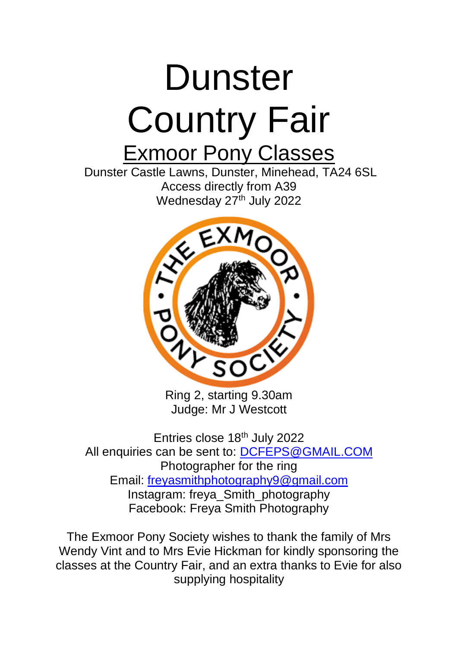# Dunster Country Fair Exmoor Pony Classes

Dunster Castle Lawns, Dunster, Minehead, TA24 6SL Access directly from A39 Wednesday 27<sup>th</sup> July 2022



Ring 2, starting 9.30am Judge: Mr J Westcott

Entries close 18<sup>th</sup> July 2022 All enquiries can be sent to: [DCFEPS@GMAIL.COM](mailto:DCFEPS@GMAIL.COM) Photographer for the ring Email: [freyasmithphotography9@gmail.com](mailto:freyasmithphotography9@gmail.com) Instagram: freya\_Smith\_photography Facebook: Freya Smith Photography

The Exmoor Pony Society wishes to thank the family of Mrs Wendy Vint and to Mrs Evie Hickman for kindly sponsoring the classes at the Country Fair, and an extra thanks to Evie for also supplying hospitality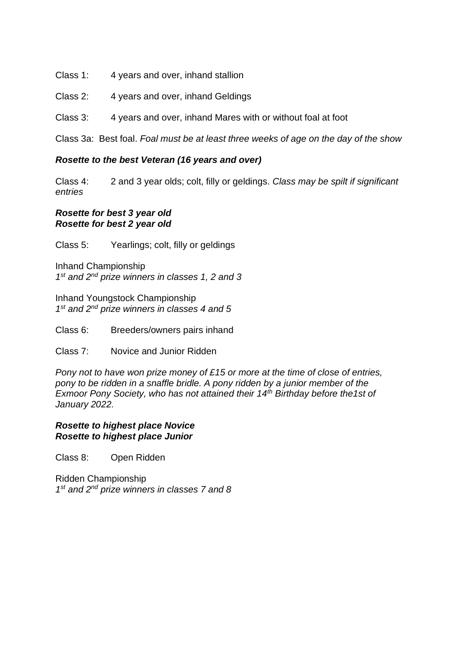- Class 1: 4 years and over, inhand stallion
- Class 2: 4 years and over, inhand Geldings
- Class 3: 4 years and over, inhand Mares with or without foal at foot

Class 3a: Best foal. *Foal must be at least three weeks of age on the day of the show*

## *Rosette to the best Veteran (16 years and over)*

Class 4: 2 and 3 year olds; colt, filly or geldings. *Class may be spilt if significant entries*

#### *Rosette for best 3 year old Rosette for best 2 year old*

Class 5: Yearlings; colt, filly or geldings

Inhand Championship *1 st and 2nd prize winners in classes 1, 2 and 3*

Inhand Youngstock Championship *1 st and 2nd prize winners in classes 4 and 5*

- Class 6: Breeders/owners pairs inhand
- Class 7: Novice and Junior Ridden

*Pony not to have won prize money of £15 or more at the time of close of entries, pony to be ridden in a snaffle bridle. A pony ridden by a junior member of the Exmoor Pony Society, who has not attained their 14th Birthday before the1st of January 2022.*

## *Rosette to highest place Novice Rosette to highest place Junior*

Class 8: Open Ridden

Ridden Championship *1 st and 2nd prize winners in classes 7 and 8*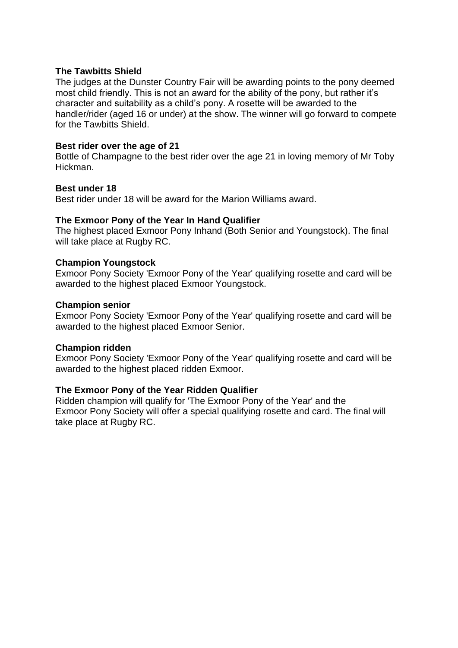## **The Tawbitts Shield**

The judges at the Dunster Country Fair will be awarding points to the pony deemed most child friendly. This is not an award for the ability of the pony, but rather it's character and suitability as a child's pony. A rosette will be awarded to the handler/rider (aged 16 or under) at the show. The winner will go forward to compete for the Tawbitts Shield.

## **Best rider over the age of 21**

Bottle of Champagne to the best rider over the age 21 in loving memory of Mr Toby Hickman.

## **Best under 18**

Best rider under 18 will be award for the Marion Williams award.

## **The Exmoor Pony of the Year In Hand Qualifier**

The highest placed Exmoor Pony Inhand (Both Senior and Youngstock). The final will take place at Rugby RC.

## **Champion Youngstock**

Exmoor Pony Society 'Exmoor Pony of the Year' qualifying rosette and card will be awarded to the highest placed Exmoor Youngstock.

## **Champion senior**

Exmoor Pony Society 'Exmoor Pony of the Year' qualifying rosette and card will be awarded to the highest placed Exmoor Senior.

## **Champion ridden**

Exmoor Pony Society 'Exmoor Pony of the Year' qualifying rosette and card will be awarded to the highest placed ridden Exmoor.

## **The Exmoor Pony of the Year Ridden Qualifier**

Ridden champion will qualify for 'The Exmoor Pony of the Year' and the Exmoor Pony Society will offer a special qualifying rosette and card. The final will take place at Rugby RC.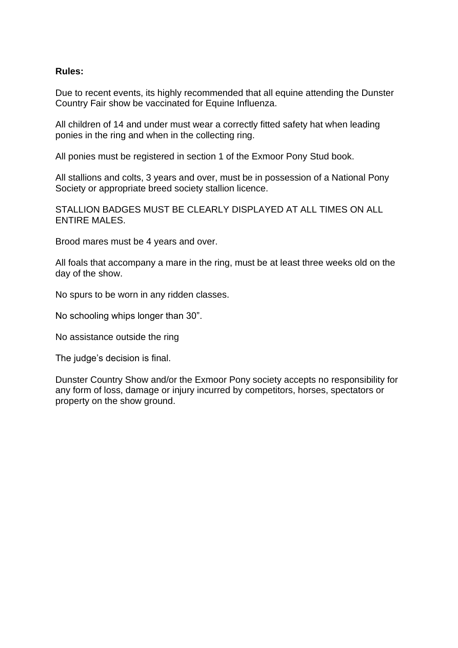## **Rules:**

Due to recent events, its highly recommended that all equine attending the Dunster Country Fair show be vaccinated for Equine Influenza.

All children of 14 and under must wear a correctly fitted safety hat when leading ponies in the ring and when in the collecting ring.

All ponies must be registered in section 1 of the Exmoor Pony Stud book.

All stallions and colts, 3 years and over, must be in possession of a National Pony Society or appropriate breed society stallion licence.

STALLION BADGES MUST BE CLEARLY DISPLAYED AT ALL TIMES ON ALL ENTIRE MALES.

Brood mares must be 4 years and over.

All foals that accompany a mare in the ring, must be at least three weeks old on the day of the show.

No spurs to be worn in any ridden classes.

No schooling whips longer than 30".

No assistance outside the ring

The judge's decision is final.

Dunster Country Show and/or the Exmoor Pony society accepts no responsibility for any form of loss, damage or injury incurred by competitors, horses, spectators or property on the show ground.